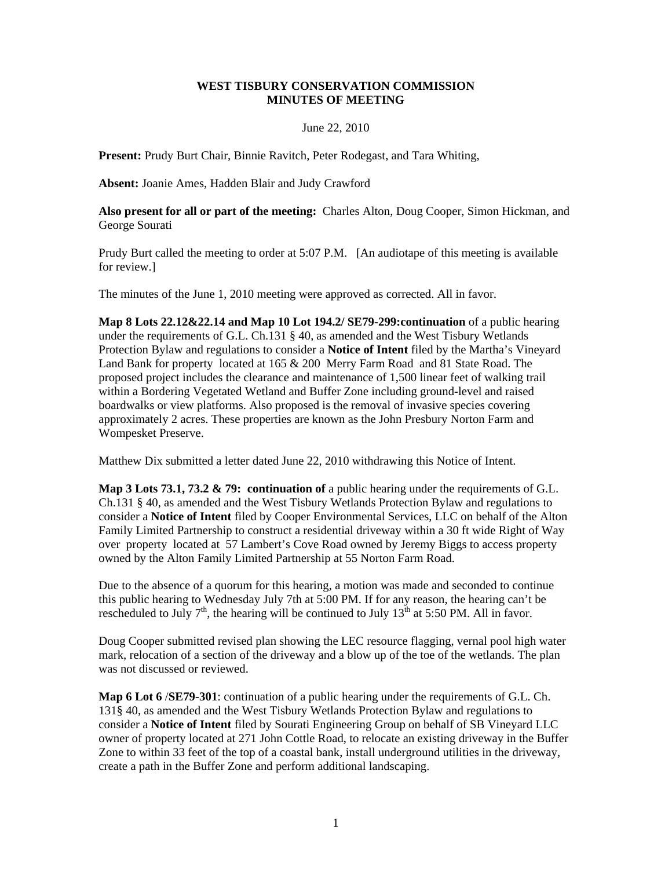## **WEST TISBURY CONSERVATION COMMISSION MINUTES OF MEETING**

## June 22, 2010

**Present:** Prudy Burt Chair, Binnie Ravitch, Peter Rodegast, and Tara Whiting,

**Absent:** Joanie Ames, Hadden Blair and Judy Crawford

**Also present for all or part of the meeting:** Charles Alton, Doug Cooper, Simon Hickman, and George Sourati

Prudy Burt called the meeting to order at 5:07 P.M. [An audiotape of this meeting is available for review.]

The minutes of the June 1, 2010 meeting were approved as corrected. All in favor.

**Map 8 Lots 22.12&22.14 and Map 10 Lot 194.2/ SE79-299:continuation** of a public hearing under the requirements of G.L. Ch.131 § 40, as amended and the West Tisbury Wetlands Protection Bylaw and regulations to consider a **Notice of Intent** filed by the Martha's Vineyard Land Bank for property located at 165 & 200 Merry Farm Road and 81 State Road. The proposed project includes the clearance and maintenance of 1,500 linear feet of walking trail within a Bordering Vegetated Wetland and Buffer Zone including ground-level and raised boardwalks or view platforms. Also proposed is the removal of invasive species covering approximately 2 acres. These properties are known as the John Presbury Norton Farm and Wompesket Preserve.

Matthew Dix submitted a letter dated June 22, 2010 withdrawing this Notice of Intent.

**Map 3 Lots 73.1, 73.2 & 79: continuation of** a public hearing under the requirements of G.L. Ch.131 § 40, as amended and the West Tisbury Wetlands Protection Bylaw and regulations to consider a **Notice of Intent** filed by Cooper Environmental Services, LLC on behalf of the Alton Family Limited Partnership to construct a residential driveway within a 30 ft wide Right of Way over property located at 57 Lambert's Cove Road owned by Jeremy Biggs to access property owned by the Alton Family Limited Partnership at 55 Norton Farm Road.

Due to the absence of a quorum for this hearing, a motion was made and seconded to continue this public hearing to Wednesday July 7th at 5:00 PM. If for any reason, the hearing can't be rescheduled to July  $7<sup>th</sup>$ , the hearing will be continued to July  $13<sup>th</sup>$  at 5:50 PM. All in favor.

Doug Cooper submitted revised plan showing the LEC resource flagging, vernal pool high water mark, relocation of a section of the driveway and a blow up of the toe of the wetlands. The plan was not discussed or reviewed.

**Map 6 Lot 6** /**SE79-301**: continuation of a public hearing under the requirements of G.L. Ch. 131§ 40, as amended and the West Tisbury Wetlands Protection Bylaw and regulations to consider a **Notice of Intent** filed by Sourati Engineering Group on behalf of SB Vineyard LLC owner of property located at 271 John Cottle Road, to relocate an existing driveway in the Buffer Zone to within 33 feet of the top of a coastal bank, install underground utilities in the driveway, create a path in the Buffer Zone and perform additional landscaping.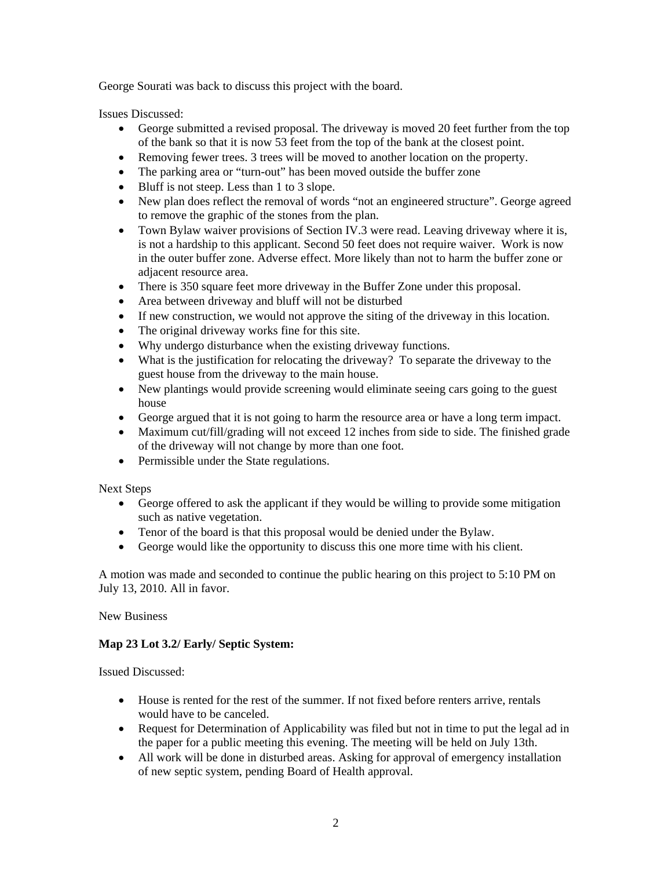George Sourati was back to discuss this project with the board.

Issues Discussed:

- George submitted a revised proposal. The driveway is moved 20 feet further from the top of the bank so that it is now 53 feet from the top of the bank at the closest point.
- Removing fewer trees. 3 trees will be moved to another location on the property.
- The parking area or "turn-out" has been moved outside the buffer zone
- Bluff is not steep. Less than 1 to 3 slope.
- New plan does reflect the removal of words "not an engineered structure". George agreed to remove the graphic of the stones from the plan.
- Town Bylaw waiver provisions of Section IV.3 were read. Leaving driveway where it is, is not a hardship to this applicant. Second 50 feet does not require waiver. Work is now in the outer buffer zone. Adverse effect. More likely than not to harm the buffer zone or adjacent resource area.
- There is 350 square feet more driveway in the Buffer Zone under this proposal.
- Area between driveway and bluff will not be disturbed
- If new construction, we would not approve the siting of the driveway in this location.
- The original driveway works fine for this site.
- Why undergo disturbance when the existing driveway functions.
- What is the justification for relocating the driveway? To separate the driveway to the guest house from the driveway to the main house.
- New plantings would provide screening would eliminate seeing cars going to the guest house
- George argued that it is not going to harm the resource area or have a long term impact.
- Maximum cut/fill/grading will not exceed 12 inches from side to side. The finished grade of the driveway will not change by more than one foot.
- Permissible under the State regulations.

Next Steps

- George offered to ask the applicant if they would be willing to provide some mitigation such as native vegetation.
- Tenor of the board is that this proposal would be denied under the Bylaw.
- George would like the opportunity to discuss this one more time with his client.

A motion was made and seconded to continue the public hearing on this project to 5:10 PM on July 13, 2010. All in favor.

New Business

## **Map 23 Lot 3.2/ Early/ Septic System:**

Issued Discussed:

- House is rented for the rest of the summer. If not fixed before renters arrive, rentals would have to be canceled.
- Request for Determination of Applicability was filed but not in time to put the legal ad in the paper for a public meeting this evening. The meeting will be held on July 13th.
- All work will be done in disturbed areas. Asking for approval of emergency installation of new septic system, pending Board of Health approval.